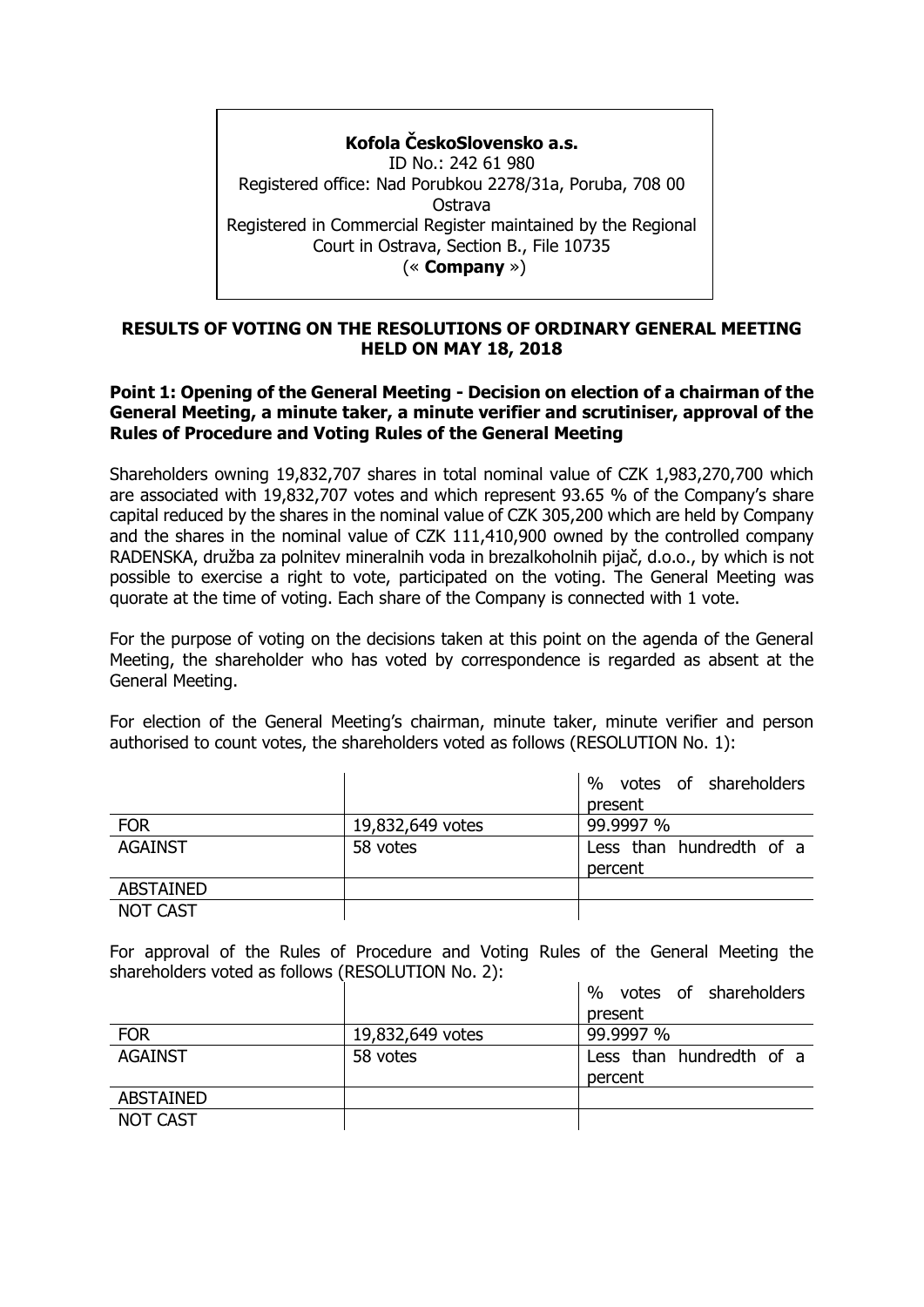**Kofola ČeskoSlovensko a.s.** ID No.: 242 61 980 Registered office: Nad Porubkou 2278/31a, Poruba, 708 00 Ostrava Registered in Commercial Register maintained by the Regional Court in Ostrava, Section B., File 10735 (« **Company** »)

# **RESULTS OF VOTING ON THE RESOLUTIONS OF ORDINARY GENERAL MEETING HELD ON MAY 18, 2018**

## **Point 1: Opening of the General Meeting - Decision on election of a chairman of the General Meeting, a minute taker, a minute verifier and scrutiniser, approval of the Rules of Procedure and Voting Rules of the General Meeting**

Shareholders owning 19,832,707 shares in total nominal value of CZK 1,983,270,700 which are associated with 19,832,707 votes and which represent 93.65 % of the Company's share capital reduced by the shares in the nominal value of CZK 305,200 which are held by Company and the shares in the nominal value of CZK 111,410,900 owned by the controlled company RADENSKA, družba za polnitev mineralnih voda in brezalkoholnih pijač, d.o.o., by which is not possible to exercise a right to vote, participated on the voting. The General Meeting was quorate at the time of voting. Each share of the Company is connected with 1 vote.

For the purpose of voting on the decisions taken at this point on the agenda of the General Meeting, the shareholder who has voted by correspondence is regarded as absent at the General Meeting.

For election of the General Meeting's chairman, minute taker, minute verifier and person authorised to count votes, the shareholders voted as follows (RESOLUTION No. 1):

|                  |                  | %<br>votes of shareholders |
|------------------|------------------|----------------------------|
|                  |                  | present                    |
| <b>FOR</b>       | 19,832,649 votes | 99.9997 %                  |
| <b>AGAINST</b>   | 58 votes         | Less than hundredth of a   |
|                  |                  | percent                    |
| <b>ABSTAINED</b> |                  |                            |
| <b>NOT CAST</b>  |                  |                            |

For approval of the Rules of Procedure and Voting Rules of the General Meeting the shareholders voted as follows (RESOLUTION No. 2):

|                  |                  | $\%$<br>votes of shareholders |
|------------------|------------------|-------------------------------|
|                  |                  | present                       |
| <b>FOR</b>       | 19,832,649 votes | 99.9997 %                     |
| <b>AGAINST</b>   | 58 votes         | Less than hundredth of a      |
|                  |                  | percent                       |
| <b>ABSTAINED</b> |                  |                               |
| NOT CAST         |                  |                               |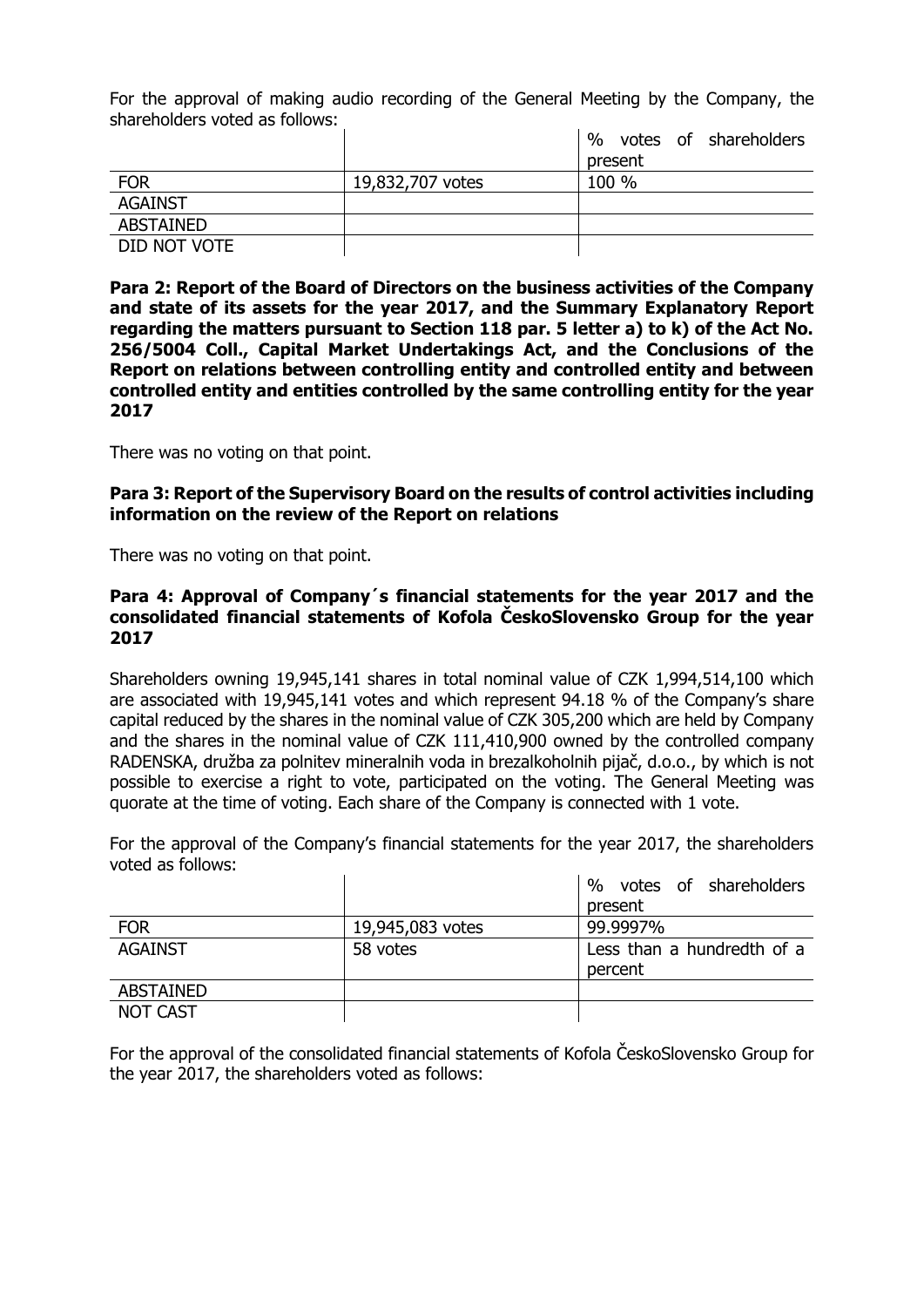For the approval of making audio recording of the General Meeting by the Company, the shareholders voted as follows:

|                  |                  | $\%$<br>votes of shareholders |
|------------------|------------------|-------------------------------|
|                  |                  | present                       |
| <b>FOR</b>       | 19,832,707 votes | 100 %                         |
| <b>AGAINST</b>   |                  |                               |
| <b>ABSTAINED</b> |                  |                               |
| DID NOT VOTE     |                  |                               |

**Para 2: Report of the Board of Directors on the business activities of the Company and state of its assets for the year 2017, and the Summary Explanatory Report regarding the matters pursuant to Section 118 par. 5 letter a) to k) of the Act No. 256/5004 Coll., Capital Market Undertakings Act, and the Conclusions of the Report on relations between controlling entity and controlled entity and between controlled entity and entities controlled by the same controlling entity for the year 2017**

There was no voting on that point.

**Para 3: Report of the Supervisory Board on the results of control activities including information on the review of the Report on relations**

There was no voting on that point.

#### **Para 4: Approval of Company´s financial statements for the year 2017 and the consolidated financial statements of Kofola ČeskoSlovensko Group for the year 2017**

Shareholders owning 19,945,141 shares in total nominal value of CZK 1,994,514,100 which are associated with 19,945,141 votes and which represent 94.18 % of the Company's share capital reduced by the shares in the nominal value of CZK 305,200 which are held by Company and the shares in the nominal value of CZK 111,410,900 owned by the controlled company RADENSKA, družba za polnitev mineralnih voda in brezalkoholnih pijač, d.o.o., by which is not possible to exercise a right to vote, participated on the voting. The General Meeting was quorate at the time of voting. Each share of the Company is connected with 1 vote.

For the approval of the Company's financial statements for the year 2017, the shareholders voted as follows:

|                  |                  | $\%$<br>votes of shareholders |
|------------------|------------------|-------------------------------|
|                  |                  | present                       |
| <b>FOR</b>       | 19,945,083 votes | 99.9997%                      |
| <b>AGAINST</b>   | 58 votes         | Less than a hundredth of a    |
|                  |                  | percent                       |
| <b>ABSTAINED</b> |                  |                               |
| <b>NOT CAST</b>  |                  |                               |

For the approval of the consolidated financial statements of Kofola ČeskoSlovensko Group for the year 2017, the shareholders voted as follows: